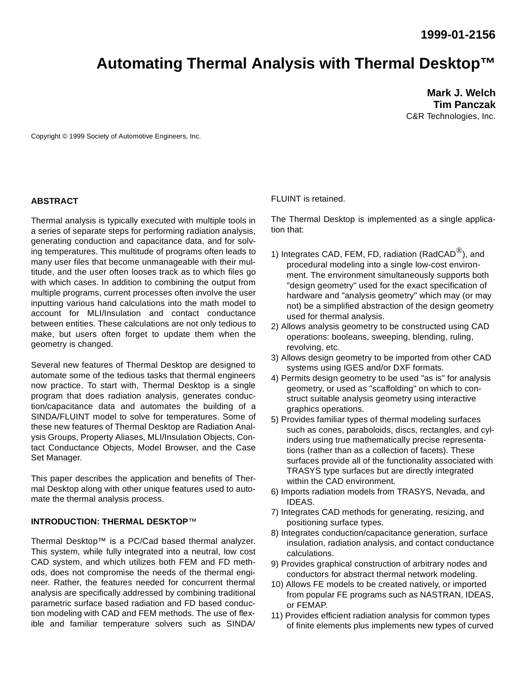# **Automating Thermal Analysis with Thermal Desktop™**

**Mark J. Welch Tim Panczak** C&R Technologies, Inc.

Copyright © 1999 Society of Automotive Engineers, Inc.

### **ABSTRACT**

Thermal analysis is typically executed with multiple tools in a series of separate steps for performing radiation analysis, generating conduction and capacitance data, and for solving temperatures. This multitude of programs often leads to many user files that become unmanageable with their multitude, and the user often looses track as to which files go with which cases. In addition to combining the output from multiple programs, current processes often involve the user inputting various hand calculations into the math model to account for MLI/Insulation and contact conductance between entities. These calculations are not only tedious to make, but users often forget to update them when the geometry is changed.

Several new features of Thermal Desktop are designed to automate some of the tedious tasks that thermal engineers now practice. To start with, Thermal Desktop is a single program that does radiation analysis, generates conduction/capacitance data and automates the building of a SINDA/FLUINT model to solve for temperatures. Some of these new features of Thermal Desktop are Radiation Analysis Groups, Property Aliases, MLI/Insulation Objects, Contact Conductance Objects, Model Browser, and the Case Set Manager.

This paper describes the application and benefits of Thermal Desktop along with other unique features used to automate the thermal analysis process.

#### **INTRODUCTION: THERMAL DESKTOP**™

Thermal Desktop™ is a PC/Cad based thermal analyzer. This system, while fully integrated into a neutral, low cost CAD system, and which utilizes both FEM and FD methods, does not compromise the needs of the thermal engineer. Rather, the features needed for concurrent thermal analysis are specifically addressed by combining traditional parametric surface based radiation and FD based conduction modeling with CAD and FEM methods. The use of flexible and familiar temperature solvers such as SINDA/

FLUINT is retained.

The Thermal Desktop is implemented as a single application that:

- 1) Integrates CAD, FEM, FD, radiation (RadCAD $^{\circledR}$ ), and procedural modeling into a single low-cost environment. The environment simultaneously supports both "design geometry" used for the exact specification of hardware and "analysis geometry" which may (or may not) be a simplified abstraction of the design geometry used for thermal analysis.
- 2) Allows analysis geometry to be constructed using CAD operations: booleans, sweeping, blending, ruling, revolving, etc.
- 3) Allows design geometry to be imported from other CAD systems using IGES and/or DXF formats.
- 4) Permits design geometry to be used "as is" for analysis geometry, or used as "scaffolding" on which to construct suitable analysis geometry using interactive graphics operations.
- 5) Provides familiar types of thermal modeling surfaces such as cones, paraboloids, discs, rectangles, and cylinders using true mathematically precise representations (rather than as a collection of facets). These surfaces provide all of the functionality associated with TRASYS type surfaces but are directly integrated within the CAD environment.
- 6) Imports radiation models from TRASYS, Nevada, and IDEAS.
- 7) Integrates CAD methods for generating, resizing, and positioning surface types.
- 8) Integrates conduction/capacitance generation, surface insulation, radiation analysis, and contact conductance calculations.
- 9) Provides graphical construction of arbitrary nodes and conductors for abstract thermal network modeling.
- 10) Allows FE models to be created natively, or imported from popular FE programs such as NASTRAN, IDEAS, or FEMAP.
- 11) Provides efficient radiation analysis for common types of finite elements plus implements new types of curved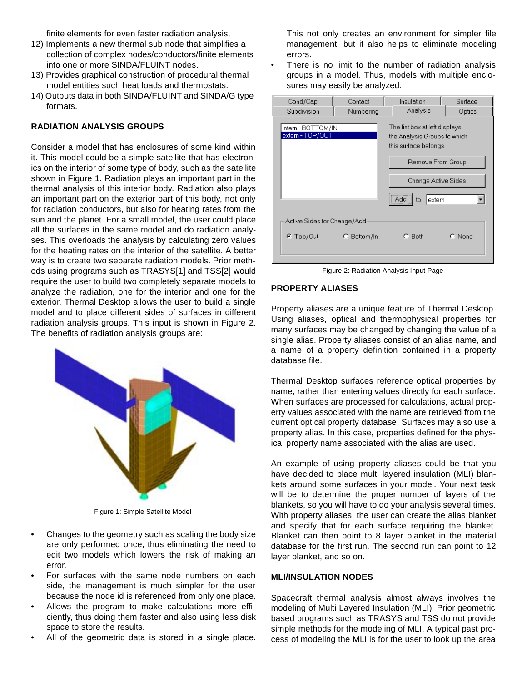finite elements for even faster radiation analysis.

- 12) Implements a new thermal sub node that simplifies a collection of complex nodes/conductors/finite elements into one or more SINDA/FLUINT nodes.
- 13) Provides graphical construction of procedural thermal model entities such heat loads and thermostats.
- 14) Outputs data in both SINDA/FLUINT and SINDA/G type formats.

## **RADIATION ANALYSIS GROUPS**

Consider a model that has enclosures of some kind within it. This model could be a simple satellite that has electronics on the interior of some type of body, such as the satellite shown in Figure 1. Radiation plays an important part in the thermal analysis of this interior body. Radiation also plays an important part on the exterior part of this body, not only for radiation conductors, but also for heating rates from the sun and the planet. For a small model, the user could place all the surfaces in the same model and do radiation analyses. This overloads the analysis by calculating zero values for the heating rates on the interior of the satellite. A better way is to create two separate radiation models. Prior methods using programs such as TRASYS[1] and TSS[2] would require the user to build two completely separate models to analyze the radiation, one for the interior and one for the exterior. Thermal Desktop allows the user to build a single model and to place different sides of surfaces in different radiation analysis groups. This input is shown in Figure 2. The benefits of radiation analysis groups are:



Figure 1: Simple Satellite Model

- Changes to the geometry such as scaling the body size are only performed once, thus eliminating the need to edit two models which lowers the risk of making an error.
- For surfaces with the same node numbers on each side, the management is much simpler for the user because the node id is referenced from only one place.
- Allows the program to make calculations more efficiently, thus doing them faster and also using less disk space to store the results.
- All of the geometric data is stored in a single place.

This not only creates an environment for simpler file management, but it also helps to eliminate modeling errors.

There is no limit to the number of radiation analysis groups in a model. Thus, models with multiple enclosures may easily be analyzed.

| Cond/Cap                               | Contact     | Insulation                                                                                                                                                | Surface |
|----------------------------------------|-------------|-----------------------------------------------------------------------------------------------------------------------------------------------------------|---------|
| Subdivision                            | Numbering   | Analysis                                                                                                                                                  | Optics  |
| intern - BOTTOM/IN<br>extern - TOP/OUT |             | The list box at left displays<br>the Analysis Groups to which<br>this surface belongs.<br>Remove From Group<br>Change Active Sides<br>Add<br>extern<br>to |         |
| Active Sides for Change/Add            |             |                                                                                                                                                           |         |
| $\bullet$ Top/Out                      | C Bottom/In | C. Both                                                                                                                                                   | C None  |

Figure 2: Radiation Analysis Input Page

### **PROPERTY ALIASES**

Property aliases are a unique feature of Thermal Desktop. Using aliases, optical and thermophysical properties for many surfaces may be changed by changing the value of a single alias. Property aliases consist of an alias name, and a name of a property definition contained in a property database file.

Thermal Desktop surfaces reference optical properties by name, rather than entering values directly for each surface. When surfaces are processed for calculations, actual property values associated with the name are retrieved from the current optical property database. Surfaces may also use a property alias. In this case, properties defined for the physical property name associated with the alias are used.

An example of using property aliases could be that you have decided to place multi layered insulation (MLI) blankets around some surfaces in your model. Your next task will be to determine the proper number of layers of the blankets, so you will have to do your analysis several times. With property aliases, the user can create the alias blanket and specify that for each surface requiring the blanket. Blanket can then point to 8 layer blanket in the material database for the first run. The second run can point to 12 layer blanket, and so on.

### **MLI/INSULATION NODES**

Spacecraft thermal analysis almost always involves the modeling of Multi Layered Insulation (MLI). Prior geometric based programs such as TRASYS and TSS do not provide simple methods for the modeling of MLI. A typical past process of modeling the MLI is for the user to look up the area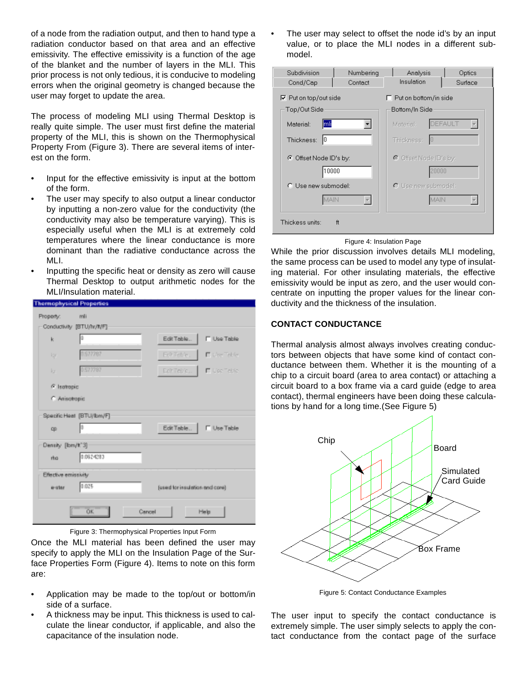of a node from the radiation output, and then to hand type a radiation conductor based on that area and an effective emissivity. The effective emissivity is a function of the age of the blanket and the number of layers in the MLI. This prior process is not only tedious, it is conducive to modeling errors when the original geometry is changed because the user may forget to update the area.

The process of modeling MLI using Thermal Desktop is really quite simple. The user must first define the material property of the MLI, this is shown on the Thermophysical Property From (Figure 3). There are several items of interest on the form.

- Input for the effective emissivity is input at the bottom of the form.
- The user may specify to also output a linear conductor by inputting a non-zero value for the conductivity (the conductivity may also be temperature varying). This is especially useful when the MLI is at extremely cold temperatures where the linear conductance is more dominant than the radiative conductance across the MLI.
- Inputting the specific heat or density as zero will cause Thermal Desktop to output arithmetic nodes for the MLI/Insulation material.

| <b>Thermophysical Properties</b> |                            |        |                                |                     |
|----------------------------------|----------------------------|--------|--------------------------------|---------------------|
| Property:                        | mli                        |        |                                |                     |
|                                  | Conductivity [BTU/hr/ft/F] |        |                                |                     |
| k                                | ю                          |        | Edit Table                     | <b>FI Use Table</b> |
| Igy.                             | 1577707                    |        | Folt Toble                     | E DecTable          |
| ka                               | 0.577797                   |        | EchTeblo                       | E Use Table         |
| © Isotropic                      |                            |        |                                |                     |
| C Ansolropic                     |                            |        |                                |                     |
|                                  | Specific Heat [BTU/Ibm/F]  |        |                                |                     |
| cp                               | Þ                          |        | Edit Table.                    | <b>F</b> Use Table  |
| Density [Ibm/#"3]                |                            |        |                                |                     |
| rho.                             | 0.0624283                  |        |                                |                     |
| Effective emissivity             |                            |        |                                |                     |
| a-star                           | 0.025                      |        | [used for insulation and cone] |                     |
|                                  | OK.                        | Cancel |                                | Help                |
|                                  |                            |        |                                |                     |



Once the MLI material has been defined the user may specify to apply the MLI on the Insulation Page of the Surface Properties Form (Figure 4). Items to note on this form are:

- Application may be made to the top/out or bottom/in side of a surface.
- A thickness may be input. This thickness is used to calculate the linear conductor, if applicable, and also the capacitance of the insulation node.

The user may select to offset the node id's by an input value, or to place the MLI nodes in a different submodel.

| Subdivision<br>Cond/Cap      | Numbering<br>Contact | Analysis<br>Insulation       | Optics<br>Surface |
|------------------------------|----------------------|------------------------------|-------------------|
| $\nabla$ Put on top/out side |                      | $\Box$ Put on bottom/in side |                   |
| Top/Out Side                 |                      | Bottom/In Side               |                   |
| Material:<br>lmli            |                      | Material:                    | DEFAULT           |
| Thickness:<br>Iо             |                      | Thickness:<br>10             |                   |
| ⊙ Offset Node ID's by:       |                      | ⊙ Offset Node ID's by:       |                   |
| 10000                        |                      |                              | 20000             |
| C. Use new submodel:         |                      | C Use new submodel:          |                   |
| MAIN                         |                      |                              | MAIN              |
| Thickess units:              | ft                   |                              |                   |

Figure 4: Insulation Page

While the prior discussion involves details MLI modeling, the same process can be used to model any type of insulating material. For other insulating materials, the effective emissivity would be input as zero, and the user would concentrate on inputting the proper values for the linear conductivity and the thickness of the insulation.

# **CONTACT CONDUCTANCE**

Thermal analysis almost always involves creating conductors between objects that have some kind of contact conductance between them. Whether it is the mounting of a chip to a circuit board (area to area contact) or attaching a circuit board to a box frame via a card guide (edge to area contact), thermal engineers have been doing these calculations by hand for a long time.(See Figure 5)



Figure 5: Contact Conductance Examples

The user input to specify the contact conductance is extremely simple. The user simply selects to apply the contact conductance from the contact page of the surface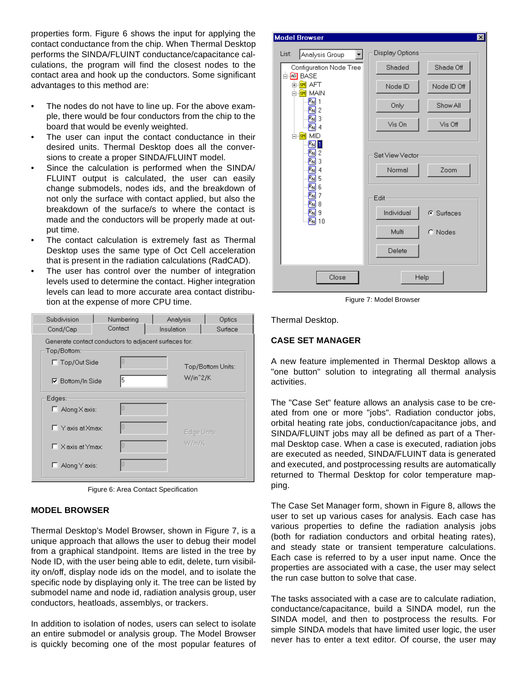properties form. Figure 6 shows the input for applying the contact conductance from the chip. When Thermal Desktop performs the SINDA/FLUINT conductance/capacitance calculations, the program will find the closest nodes to the contact area and hook up the conductors. Some significant advantages to this method are:

- The nodes do not have to line up. For the above example, there would be four conductors from the chip to the board that would be evenly weighted.
- The user can input the contact conductance in their desired units. Thermal Desktop does all the conversions to create a proper SINDA/FLUINT model.
- Since the calculation is performed when the SINDA/ FLUINT output is calculated, the user can easily change submodels, nodes ids, and the breakdown of not only the surface with contact applied, but also the breakdown of the surface/s to where the contact is made and the conductors will be properly made at output time.
- The contact calculation is extremely fast as Thermal Desktop uses the same type of Oct Cell acceleration that is present in the radiation calculations (RadCAD).
- The user has control over the number of integration levels used to determine the contact. Higher integration levels can lead to more accurate area contact distribution at the expense of more CPU time.

| Subdivision<br>Cond/Cap                                                                     | Numbering<br>Contact | Analysis<br>Insulation |                      | Optics<br>Surface |
|---------------------------------------------------------------------------------------------|----------------------|------------------------|----------------------|-------------------|
| Generate contact conductors to adjacent surfaces for:<br>Top/Bottom:<br>$\Box$ Top/Out Side |                      |                        |                      | Top/Bottom Units: |
| <b>▽</b> Bottom/In Side                                                                     | 5                    |                        | W/in <sup>2</sup> /K |                   |
| Edges:                                                                                      |                      |                        |                      |                   |
| $\Box$ Along X axis:                                                                        |                      |                        |                      |                   |
| $\Box$ Y axis at Xmax:                                                                      |                      |                        | Edge Units:          |                   |
| $\Box$ X axis at Ymax:                                                                      |                      |                        | W/in/K               |                   |
| Along Y axis:<br>ш                                                                          |                      |                        |                      |                   |

Figure 6: Area Contact Specification

## **MODEL BROWSER**

Thermal Desktop's Model Browser, shown in Figure 7, is a unique approach that allows the user to debug their model from a graphical standpoint. Items are listed in the tree by Node ID, with the user being able to edit, delete, turn visibility on/off, display node ids on the model, and to isolate the specific node by displaying only it. The tree can be listed by submodel name and node id, radiation analysis group, user conductors, heatloads, assemblys, or trackers.

In addition to isolation of nodes, users can select to isolate an entire submodel or analysis group. The Model Browser is quickly becoming one of the most popular features of

| <b>Model Browser</b>                                                                       |                 | $\vert x \vert$ |
|--------------------------------------------------------------------------------------------|-----------------|-----------------|
| List:<br>Analysis Group<br>▾╎                                                              | Display Options |                 |
| Configuration Node Tree<br>ங்- <mark>⊠</mark> BASE                                         | Shaded          | Shade Off       |
| n <mark>sm</mark> AFT<br>⊟- <mark>sm</mark> main                                           | Node ID         | Node ID Off     |
| $R_N$   1<br>R <sub>N</sub> 2                                                              | Only            | Show All        |
| $\mathbb{R}_{\mathsf{N}}$ 3<br>$R_{\rm N}$   4                                             | Vis On          | Vis Off         |
| <b>MID</b><br>⊟⊹ <mark>sM</mark><br>MI                                                     |                 |                 |
| $\mathbb{E}_{\mathbb{N}}$ 2<br>$\overline{R_{\mathsf{N}}}$ 3                               | Set View Vector |                 |
| $R_{\rm N}$ 4<br>$\overline{\mathsf{R}_{\mathsf{N}}}$ 5                                    | Normal          | Zoom            |
| $\overline{\phantom{a}}$ 6<br>$\overline{R_N}$ 7<br>$\overline{\mathbb{E}_{\mathsf{N}}}$ 8 | Edit            |                 |
| $\overline{\mathbb{E}_{\mathsf{N}}}$ 9<br>$\sqrt{R_N}$ 10                                  | Individual      | C Surfaces      |
|                                                                                            | Multi           | C Nodes         |
|                                                                                            | Delete          |                 |
| Close                                                                                      |                 | Help            |

Figure 7: Model Browser

Thermal Desktop.

# **CASE SET MANAGER**

A new feature implemented in Thermal Desktop allows a "one button" solution to integrating all thermal analysis activities.

The "Case Set" feature allows an analysis case to be created from one or more "jobs". Radiation conductor jobs, orbital heating rate jobs, conduction/capacitance jobs, and SINDA/FLUINT jobs may all be defined as part of a Thermal Desktop case. When a case is executed, radiation jobs are executed as needed, SINDA/FLUINT data is generated and executed, and postprocessing results are automatically returned to Thermal Desktop for color temperature mapping.

The Case Set Manager form, shown in [Figure 8,](#page-4-0) allows the user to set up various cases for analysis. Each case has various properties to define the radiation analysis jobs (both for radiation conductors and orbital heating rates), and steady state or transient temperature calculations. Each case is referred to by a user input name. Once the properties are associated with a case, the user may select the run case button to solve that case.

The tasks associated with a case are to calculate radiation, conductance/capacitance, build a SINDA model, run the SINDA model, and then to postprocess the results. For simple SINDA models that have limited user logic, the user never has to enter a text editor. Of course, the user may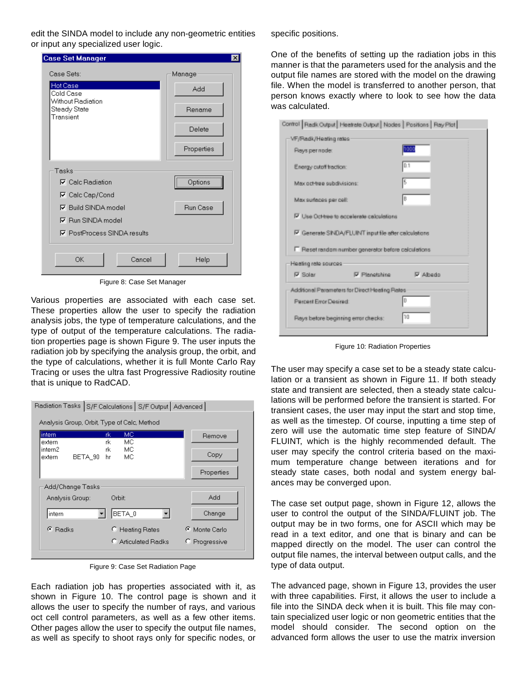<span id="page-4-0"></span>edit the SINDA model to include any non-geometric entities or input any specialized user logic.

| <b>Case Set Manager</b>                        | $\times$        |
|------------------------------------------------|-----------------|
| Case Sets:                                     | Manage          |
| <b>Hot Case</b><br>Cold Case                   | Add             |
| Without Radiation<br>Steady State<br>Transient | Rename          |
|                                                | Delete          |
|                                                | Properties      |
| Tasks                                          |                 |
| $\nabla$ Calc Radiation                        | Options         |
| $\nabla$ Calc Cap/Cond                         |                 |
| <b>▽</b> Build SINDA model                     | <b>Run Case</b> |
| $\nabla$ Run SINDA model                       |                 |
| <b>▽</b> PostProcess SINDA results             |                 |
| ΟK.<br>Cancel                                  | Help            |

Figure 8: Case Set Manager

Various properties are associated with each case set. These properties allow the user to specify the radiation analysis jobs, the type of temperature calculations, and the type of output of the temperature calculations. The radiation properties page is shown Figure 9. The user inputs the radiation job by specifying the analysis group, the orbit, and the type of calculations, whether it is full Monte Carlo Ray Tracing or uses the ultra fast Progressive Radiosity routine that is unique to RadCAD.

| Radiation Tasks S/F Calculations S/F Output   Advanced |                                                                                        |
|--------------------------------------------------------|----------------------------------------------------------------------------------------|
|                                                        |                                                                                        |
| МC<br>rk                                               | Remove                                                                                 |
| МC<br>rk<br>МC<br>hr                                   | Copy                                                                                   |
|                                                        | Properties                                                                             |
|                                                        |                                                                                        |
| Orbit:                                                 | Add                                                                                    |
| BETA_0                                                 | Change                                                                                 |
| C Heating Rates                                        | ⊙ Monte Carlo                                                                          |
| C Articulated Radks                                    | C Progressive                                                                          |
|                                                        | Analysis Group, Orbit, Type of Calc, Method<br>МC<br>rk<br>BETA 90<br>Add/Change Tasks |

Figure 9: Case Set Radiation Page

Each radiation job has properties associated with it, as shown in Figure 10. The control page is shown and it allows the user to specify the number of rays, and various oct cell control parameters, as well as a few other items. Other pages allow the user to specify the output file names, as well as specify to shoot rays only for specific nodes, or

specific positions.

One of the benefits of setting up the radiation jobs in this manner is that the parameters used for the analysis and the output file names are stored with the model on the drawing file. When the model is transferred to another person, that person knows exactly where to look to see how the data was calculated.

| Control   Radik Curput   Heatrate Output   Nodes   Positions   Ray Plot |                 |
|-------------------------------------------------------------------------|-----------------|
| VF/Radk/Heating rates                                                   |                 |
| Reys per node:                                                          | hoao            |
| Energy cutoff frection:                                                 | 0.1             |
| Max act-tree subdivisions:                                              | 5               |
| Max surfaces per cell:                                                  | B               |
| P Use Oct-tree to accelerate calculations                               |                 |
| P Generate SINDA/FLUINT input file after calculations                   |                 |
| F Reset random number generator before calculations                     |                 |
| Heating rate sources                                                    |                 |
| <b>IZ Solar</b><br>P Planetshine                                        | $\nabla$ Albedo |
| Additional Parameters for Direct Heating Rates                          |                 |
| <b>Percent Error Desired</b>                                            | D               |
| Reys before beginning error checks:                                     | 10              |
|                                                                         |                 |

Figure 10: Radiation Properties

The user may specify a case set to be a steady state calculation or a transient as shown in [Figure 11](#page-5-0). If both steady state and transient are selected, then a steady state calculations will be performed before the transient is started. For transient cases, the user may input the start and stop time, as well as the timestep. Of course, inputting a time step of zero will use the automatic time step feature of SINDA/ FLUINT, which is the highly recommended default. The user may specify the control criteria based on the maximum temperature change between iterations and for steady state cases, both nodal and system energy balances may be converged upon.

The case set output page, shown in [Figure 12](#page-5-0), allows the user to control the output of the SINDA/FLUINT job. The output may be in two forms, one for ASCII which may be read in a text editor, and one that is binary and can be mapped directly on the model. The user can control the output file names, the interval between output calls, and the type of data output.

The advanced page, shown in [Figure 13,](#page-5-0) provides the user with three capabilities. First, it allows the user to include a file into the SINDA deck when it is built. This file may contain specialized user logic or non geometric entities that the model should consider. The second option on the advanced form allows the user to use the matrix inversion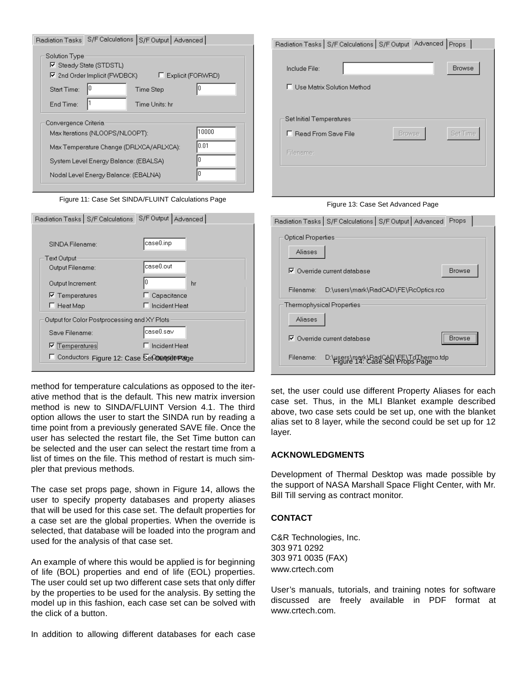<span id="page-5-0"></span>

| Radiation Tasks      |                                                                                                                  | S/F Calculations S/F Output Advanced    |                         |
|----------------------|------------------------------------------------------------------------------------------------------------------|-----------------------------------------|-------------------------|
| Solution Type        | <b>☑</b> Steady State (STDSTL)<br>$\nabla$ 2nd Order Implicit (FWDBCK)                                           | Explicit (FORWRD)                       |                         |
| Start Time:          |                                                                                                                  | Time Step                               |                         |
| End Time:            |                                                                                                                  | Time Units: hr                          |                         |
| Convergence Criteria | Max Iterations (NLOOPS/NLOOPT):<br>System Level Energy Balance: (EBALSA)<br>Nodal Level Energy Balance: (EBALNA) | Max Temperature Change (DRLXCA/ARLXCA): | 10000<br>0.01<br>n<br>n |

Figure 11: Case Set SINDA/FLUINT Calculations Page

| Radiation Tasks   S/F Calculations           | S/F Output   Advanced |
|----------------------------------------------|-----------------------|
|                                              |                       |
| SINDA Filename:                              | case0.inp             |
| Text Output                                  |                       |
| Output Filename:                             | case0.out             |
| Output Increment:                            | hr                    |
| $\nabla$ Temperatures                        | Capacitance           |
| Heat Map                                     | Incident Heat         |
| Output for Color Postprocessing and XY Plots |                       |
| Save Filename:                               | case0.sav             |
| <b>■</b> Temperatures                        | Incident Heat         |
| Conductors Figure 12: Case Set Output Page   |                       |

method for temperature calculations as opposed to the iterative method that is the default. This new matrix inversion method is new to SINDA/FLUINT Version 4.1. The third option allows the user to start the SINDA run by reading a time point from a previously generated SAVE file. Once the user has selected the restart file, the Set Time button can be selected and the user can select the restart time from a list of times on the file. This method of restart is much simpler that previous methods.

The case set props page, shown in Figure 14, allows the user to specify property databases and property aliases that will be used for this case set. The default properties for a case set are the global properties. When the override is selected, that database will be loaded into the program and used for the analysis of that case set.

An example of where this would be applied is for beginning of life (BOL) properties and end of life (EOL) properties. The user could set up two different case sets that only differ by the properties to be used for the analysis. By setting the model up in this fashion, each case set can be solved with the click of a button.

In addition to allowing different databases for each case

| Radiation Tasks   S/F Calculations   S/F Output Advanced   Props |        |               |
|------------------------------------------------------------------|--------|---------------|
|                                                                  |        |               |
| Include File:                                                    |        | <b>Browse</b> |
| □ Use Matrix Solution Method                                     |        |               |
|                                                                  |        |               |
|                                                                  |        |               |
| Set Initial Temperatures                                         |        |               |
| F Read From Save File                                            | Browse | Set Time      |
| Filename:                                                        |        |               |
|                                                                  |        |               |
|                                                                  |        |               |

Figure 13: Case Set Advanced Page

| Radiation Tasks   S/F Calculations   S/F Output   Advanced                          | Props         |
|-------------------------------------------------------------------------------------|---------------|
| Optical Properties                                                                  |               |
| Aliases                                                                             |               |
| $\nabla$ Override current database                                                  | <b>Browse</b> |
| D:\users\mark\RadCAD\FE\RcOptics.rco<br>Filename:                                   |               |
| Thermophysical Properties.                                                          |               |
| Aliases                                                                             |               |
| $\nabla$ Override current database                                                  | <br>Browse    |
| Filename:<br>D:\users\mark\RadCAD\FE\TdThermo.tdp<br>Figure 14: Case Set Props Page |               |

set, the user could use different Property Aliases for each case set. Thus, in the MLI Blanket example described above, two case sets could be set up, one with the blanket alias set to 8 layer, while the second could be set up for 12 layer.

## **ACKNOWLEDGMENTS**

Development of Thermal Desktop was made possible by the support of NASA Marshall Space Flight Center, with Mr. Bill Till serving as contract monitor.

## **CONTACT**

C&R Technologies, Inc. 303 971 0292 303 971 0035 (FAX) www.crtech.com

User's manuals, tutorials, and training notes for software discussed are freely available in PDF format at www.crtech.com.